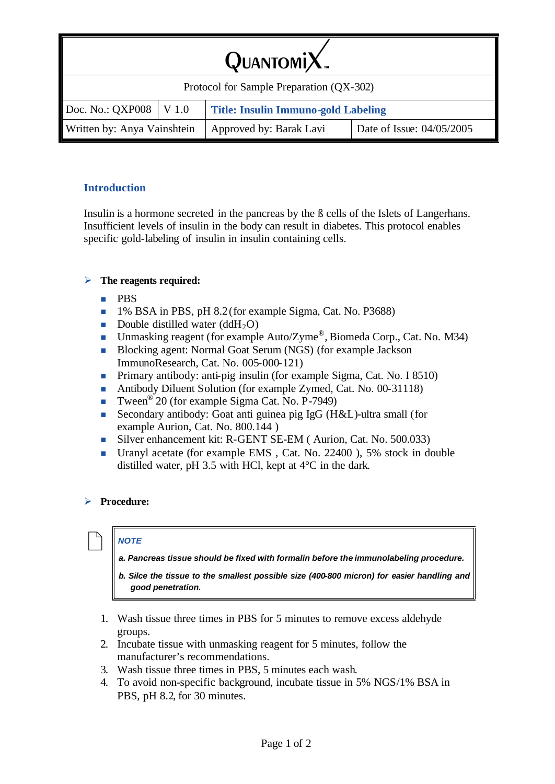| $QuarsoniX$ .                            |  |                                                     |  |  |  |
|------------------------------------------|--|-----------------------------------------------------|--|--|--|
| Protocol for Sample Preparation (QX-302) |  |                                                     |  |  |  |
|                                          |  | XP008   V 1.0   Title: Insulin Immuno-gold Labeling |  |  |  |

### **Introduction**

Doc. No.: C

Insulin is a hormone secreted in the pancreas by the ß cells of the Islets of Langerhans. Insufficient levels of insulin in the body can result in diabetes. This protocol enables specific gold-labeling of insulin in insulin containing cells.

Written by: Anya Vainshtein | Approved by: Barak Lavi | Date of Issue:  $04/05/2005$ 

### ÿ **The reagents required:**

- n PBS
- <sup>n</sup> 1% BSA in PBS, pH 8.2(for example Sigma, Cat. No. P3688)
- Double distilled water  $(ddH_2O)$
- **IDED** Unmasking reagent (for example Auto/Zyme®, Biomeda Corp., Cat. No. M34)
- <sup>n</sup> Blocking agent: Normal Goat Serum (NGS) (for example Jackson ImmunoResearch, Cat. No. 005-000-121)
- n Primary antibody: anti-pig insulin (for example Sigma, Cat. No. I 8510)
- Antibody Diluent Solution (for example Zymed, Cat. No. 00-31118)
- **Tween**<sup>®</sup> 20 (for example Sigma Cat. No. P-7949)
- <sup>n</sup> Secondary antibody: Goat anti guinea pig IgG (H&L)-ultra small (for example Aurion, Cat. No. 800.144 )
- Silver enhancement kit: R-GENT SE-EM ( Aurion, Cat. No. 500.033)
- Uranyl acetate (for example EMS, Cat. No. 22400), 5% stock in double distilled water, pH 3.5 with HCl, kept at 4°C in the dark.

## ÿ **Procedure:**

## / *NOTE*

*a. Pancreas tissue should be fixed with formalin before the immunolabeling procedure.*

- *b. Silce the tissue to the smallest possible size (400-800 micron) for easier handling and good penetration.*
- 1. Wash tissue three times in PBS for 5 minutes to remove excess aldehyde groups.
- 2. Incubate tissue with unmasking reagent for 5 minutes, follow the manufacturer's recommendations.
- 3. Wash tissue three times in PBS, 5 minutes each wash.
- 4. To avoid non-specific background, incubate tissue in 5% NGS/1% BSA in PBS, pH 8.2, for 30 minutes.